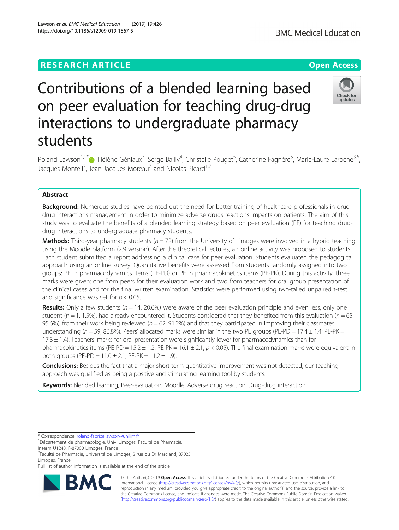# **RESEARCH ARTICLE Example 2014 12:30 The Contract of Contract ACCESS**

# Contributions of a blended learning based on peer evaluation for teaching drug-drug interactions to undergraduate pharmacy students

Roland Lawson<sup>1,2[\\*](http://orcid.org/0000-0002-0684-8809)</sup> D, Hélène Géniaux<sup>3</sup>, Serge Bailly<sup>4</sup>, Christelle Pouget<sup>5</sup>, Catherine Fagnère<sup>5</sup>, Marie-Laure Laroche<sup>3,6</sup>, Jacques Monteil<sup>7</sup>, Jean-Jacques Moreau<sup>7</sup> and Nicolas Picard<sup>1,7</sup>

# Abstract

**Background:** Numerous studies have pointed out the need for better training of healthcare professionals in drugdrug interactions management in order to minimize adverse drugs reactions impacts on patients. The aim of this study was to evaluate the benefits of a blended learning strategy based on peer evaluation (PE) for teaching drugdrug interactions to undergraduate pharmacy students.

**Methods:** Third-year pharmacy students ( $n = 72$ ) from the University of Limoges were involved in a hybrid teaching using the Moodle platform (2.9 version). After the theoretical lectures, an online activity was proposed to students. Each student submitted a report addressing a clinical case for peer evaluation. Students evaluated the pedagogical approach using an online survey. Quantitative benefits were assessed from students randomly assigned into two groups: PE in pharmacodynamics items (PE-PD) or PE in pharmacokinetics items (PE-PK). During this activity, three marks were given: one from peers for their evaluation work and two from teachers for oral group presentation of the clinical cases and for the final written examination. Statistics were performed using two-tailed unpaired t-test and significance was set for  $p < 0.05$ .

**Results:** Only a few students ( $n = 14$ , 20.6%) were aware of the peer evaluation principle and even less, only one student ( $n = 1$ , 1.5%), had already encountered it. Students considered that they benefited from this evaluation ( $n = 65$ , 95.6%); from their work being reviewed ( $n = 62$ , 91.2%) and that they participated in improving their classmates understanding ( $n = 59$ , 86.8%). Peers' allocated marks were similar in the two PE groups (PE-PD = 17.4  $\pm$  1.4; PE-PK =  $17.3 \pm 1.4$ ). Teachers' marks for oral presentation were significantly lower for pharmacodynamics than for pharmacokinetics items (PE-PD = 15.2  $\pm$  1.2; PE-PK = 16.1  $\pm$  2.1;  $p$  < 0.05). The final examination marks were equivalent in both groups (PE-PD =  $11.0 \pm 2.1$ ; PE-PK =  $11.2 \pm 1.9$ ).

Conclusions: Besides the fact that a major short-term quantitative improvement was not detected, our teaching approach was qualified as being a positive and stimulating learning tool by students.

Keywords: Blended learning, Peer-evaluation, Moodle, Adverse drug reaction, Drug-drug interaction



© The Author(s). 2019 **Open Access** This article is distributed under the terms of the Creative Commons Attribution 4.0 International License [\(http://creativecommons.org/licenses/by/4.0/](http://creativecommons.org/licenses/by/4.0/)), which permits unrestricted use, distribution, and reproduction in any medium, provided you give appropriate credit to the original author(s) and the source, provide a link to the Creative Commons license, and indicate if changes were made. The Creative Commons Public Domain Dedication waiver [\(http://creativecommons.org/publicdomain/zero/1.0/](http://creativecommons.org/publicdomain/zero/1.0/)) applies to the data made available in this article, unless otherwise stated.



<sup>\*</sup> Correspondence: [roland-fabrice.lawson@unilim.fr](mailto:roland-fabrice.lawson@unilim.fr) <sup>1</sup>

<sup>&</sup>lt;sup>1</sup>Département de pharmacologie, Univ. Limoges, Faculté de Pharmacie, Inserm U1248, F-87000 Limoges, France

<sup>2</sup> Faculté de Pharmacie, Université de Limoges, 2 rue du Dr Marcland, 87025 Limoges, France

Full list of author information is available at the end of the article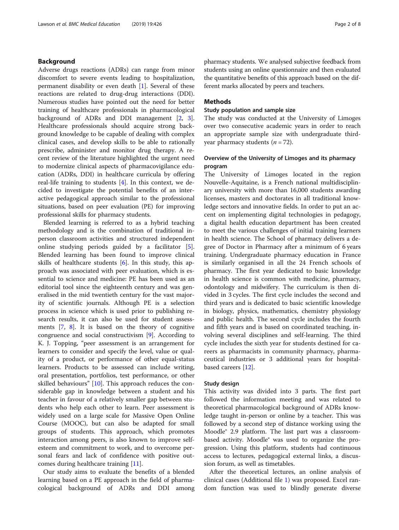# Background

Adverse drugs reactions (ADRs) can range from minor discomfort to severe events leading to hospitalization, permanent disability or even death [\[1](#page-6-0)]. Several of these reactions are related to drug-drug interactions (DDI). Numerous studies have pointed out the need for better training of healthcare professionals in pharmacological background of ADRs and DDI management [\[2](#page-6-0), [3](#page-6-0)]. Healthcare professionals should acquire strong background knowledge to be capable of dealing with complex clinical cases, and develop skills to be able to rationally prescribe, administer and monitor drug therapy. A recent review of the literature highlighted the urgent need to modernize clinical aspects of pharmacovigilance education (ADRs, DDI) in healthcare curricula by offering real-life training to students [[4](#page-6-0)]. In this context, we decided to investigate the potential benefits of an interactive pedagogical approach similar to the professional situations, based on peer evaluation (PE) for improving professional skills for pharmacy students.

Blended learning is referred to as a hybrid teaching methodology and is the combination of traditional inperson classroom activities and structured independent online studying periods guided by a facilitator [\[5](#page-6-0)]. Blended learning has been found to improve clinical skills of healthcare students [\[6](#page-6-0)]. In this study, this approach was associated with peer evaluation, which is essential to science and medicine: PE has been used as an editorial tool since the eighteenth century and was generalised in the mid twentieth century for the vast majority of scientific journals. Although PE is a selection process in science which is used prior to publishing research results, it can also be used for student assessments [[7,](#page-6-0) [8](#page-6-0)]. It is based on the theory of cognitive congruence and social constructivism [\[9](#page-6-0)]. According to K. J. Topping, "peer assessment is an arrangement for learners to consider and specify the level, value or quality of a product, or performance of other equal-status learners. Products to be assessed can include writing, oral presentation, portfolios, test performance, or other skilled behaviours" [\[10](#page-6-0)]. This approach reduces the considerable gap in knowledge between a student and his teacher in favour of a relatively smaller gap between students who help each other to learn. Peer assessment is widely used on a large scale for Massive Open Online Course (MOOC), but can also be adapted for small groups of students. This approach, which promotes interaction among peers, is also known to improve selfesteem and commitment to work, and to overcome personal fears and lack of confidence with positive outcomes during healthcare training [\[11](#page-6-0)].

Our study aims to evaluate the benefits of a blended learning based on a PE approach in the field of pharmacological background of ADRs and DDI among pharmacy students. We analysed subjective feedback from students using an online questionnaire and then evaluated the quantitative benefits of this approach based on the different marks allocated by peers and teachers.

# Methods

# Study population and sample size

The study was conducted at the University of Limoges over two consecutive academic years in order to reach an appropriate sample size with undergraduate thirdyear pharmacy students  $(n = 72)$ .

# Overview of the University of Limoges and its pharmacy program

The University of Limoges located in the region Nouvelle-Aquitaine, is a French national multidisciplinary university with more than 16,000 students awarding licenses, masters and doctorates in all traditional knowledge sectors and innovative fields. In order to put an accent on implementing digital technologies in pedagogy, a digital health education department has been created to meet the various challenges of initial training learners in health science. The School of pharmacy delivers a degree of Doctor in Pharmacy after a minimum of 6 years training. Undergraduate pharmacy education in France is similarly organised in all the 24 French schools of pharmacy. The first year dedicated to basic knowledge in health science is common with medicine, pharmacy, odontology and midwifery. The curriculum is then divided in 3 cycles. The first cycle includes the second and third years and is dedicated to basic scientific knowledge in biology, physics, mathematics, chemistry physiology and public health. The second cycle includes the fourth and fifth years and is based on coordinated teaching, involving several disciplines and self-learning. The third cycle includes the sixth year for students destined for careers as pharmacists in community pharmacy, pharmaceutical industries or 3 additional years for hospitalbased careers [\[12](#page-7-0)].

#### Study design

This activity was divided into 3 parts. The first part followed the information meeting and was related to theoretical pharmacological background of ADRs knowledge taught in-person or online by a teacher. This was followed by a second step of distance working using the Moodle® 2.9 platform. The last part was a classroombased activity. Moodle® was used to organize the progression. Using this platform, students had continuous access to lectures, pedagogical external links, a discussion forum, as well as timetables.

After the theoretical lectures, an online analysis of clinical cases (Additional file [1\)](#page-6-0) was proposed. Excel random function was used to blindly generate diverse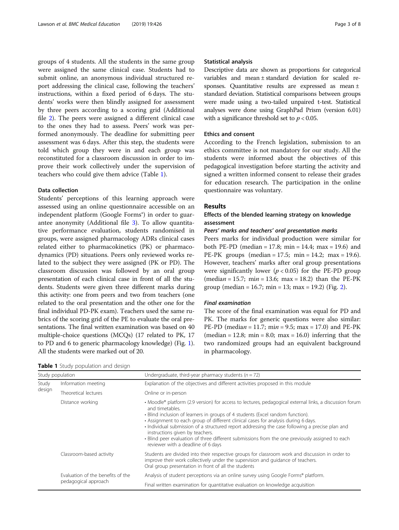groups of 4 students. All the students in the same group were assigned the same clinical case. Students had to submit online, an anonymous individual structured report addressing the clinical case, following the teachers' instructions, within a fixed period of 6 days. The students' works were then blindly assigned for assessment by three peers according to a scoring grid (Additional file [2\)](#page-6-0). The peers were assigned a different clinical case to the ones they had to assess. Peers' work was performed anonymously. The deadline for submitting peer assessment was 6 days. After this step, the students were told which group they were in and each group was reconstituted for a classroom discussion in order to improve their work collectively under the supervision of teachers who could give them advice (Table 1).

# Data collection

Students' perceptions of this learning approach were assessed using an online questionnaire accessible on an independent platform (Google Forms®) in order to guarantee anonymity (Additional file [3](#page-6-0)). To allow quantitative performance evaluation, students randomised in groups, were assigned pharmacology ADRs clinical cases related either to pharmacokinetics (PK) or pharmacodynamics (PD) situations. Peers only reviewed works related to the subject they were assigned (PK or PD). The classroom discussion was followed by an oral group presentation of each clinical case in front of all the students. Students were given three different marks during this activity: one from peers and two from teachers (one related to the oral presentation and the other one for the final individual PD-PK exam). Teachers used the same rubrics of the scoring grid of the PE to evaluate the oral presentations. The final written examination was based on 40 multiple-choice questions (MCQs) (17 related to PK, 17 to PD and 6 to generic pharmacology knowledge) (Fig. [1](#page-3-0)). All the students were marked out of 20.

#### Statistical analysis

Descriptive data are shown as proportions for categorical variables and mean ± standard deviation for scaled responses. Quantitative results are expressed as mean ± standard deviation. Statistical comparisons between groups were made using a two-tailed unpaired t-test. Statistical analyses were done using GraphPad Prism (version 6.01) with a significance threshold set to  $p < 0.05$ .

# Ethics and consent

According to the French legislation, submission to an ethics committee is not mandatory for our study. All the students were informed about the objectives of this pedagogical investigation before starting the activity and signed a written informed consent to release their grades for education research. The participation in the online questionnaire was voluntary.

### Results

# Effects of the blended learning strategy on knowledge assessment

#### Peers' marks and teachers' oral presentation marks

Peers marks for individual production were similar for both PE-PD (median = 17.8; min = 14.4; max = 19.6) and PE-PK groups (median = 17.5; min = 14.2; max = 19.6). However, teachers' marks after oral group presentations were significantly lower ( $p < 0.05$ ) for the PE-PD group  $(median = 15.7; min = 13.6; max = 18.2)$  than the PE-PK group (median = 16.7; min = 13; max = 19.[2\)](#page-3-0) (Fig. 2).

# Final examination

The score of the final examination was equal for PD and PK. The marks for generic questions were also similar: PE-PD (median = 11.7; min = 9.5; max = 17.0) and PE-PK  $(median = 12.8; min = 8.0; max = 16.0)$  inferring that the two randomized groups had an equivalent background in pharmacology.

Table 1 Study population and design

| awie I otacj popalation and acolgh |                                                           |                                                                                                                                                                                                                                                                                                                                                                                                                                                                                                                                                                                   |  |  |  |
|------------------------------------|-----------------------------------------------------------|-----------------------------------------------------------------------------------------------------------------------------------------------------------------------------------------------------------------------------------------------------------------------------------------------------------------------------------------------------------------------------------------------------------------------------------------------------------------------------------------------------------------------------------------------------------------------------------|--|--|--|
| Study population                   |                                                           | Undergraduate, third-year pharmacy students ( $n = 72$ )                                                                                                                                                                                                                                                                                                                                                                                                                                                                                                                          |  |  |  |
| Study<br>design                    | Information meeting                                       | Explanation of the objectives and different activities proposed in this module                                                                                                                                                                                                                                                                                                                                                                                                                                                                                                    |  |  |  |
|                                    | Theoretical lectures                                      | Online or in-person                                                                                                                                                                                                                                                                                                                                                                                                                                                                                                                                                               |  |  |  |
|                                    | Distance working                                          | • Moodle® platform (2.9 version) for access to lectures, pedagogical external links, a discussion forum<br>and timetables.<br>• Blind inclusion of learners in groups of 4 students (Excel random function).<br>• Assignment to each group of different clinical cases for analysis during 6 days.<br>• Individual submission of a structured report addressing the case following a precise plan and<br>instructions given by teachers.<br>· Blind peer evaluation of three different submissions from the one previously assigned to each<br>reviewer with a deadline of 6 days |  |  |  |
|                                    | Classroom-based activity                                  | Students are divided into their respective groups for classroom work and discussion in order to<br>improve their work collectively under the supervision and quidance of teachers.<br>Oral group presentation in front of all the students                                                                                                                                                                                                                                                                                                                                        |  |  |  |
|                                    | Evaluation of the benefits of the<br>pedagogical approach | Analysis of student perceptions via an online survey using Google Forms® platform.                                                                                                                                                                                                                                                                                                                                                                                                                                                                                                |  |  |  |
|                                    |                                                           | Final written examination for quantitative evaluation on knowledge acquisition                                                                                                                                                                                                                                                                                                                                                                                                                                                                                                    |  |  |  |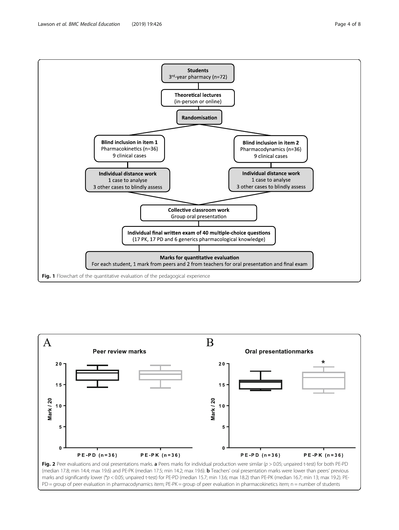<span id="page-3-0"></span>(in-person or online)



**Students** 3rd-year pharmacy (n=72)

**Theoretical lectures** 

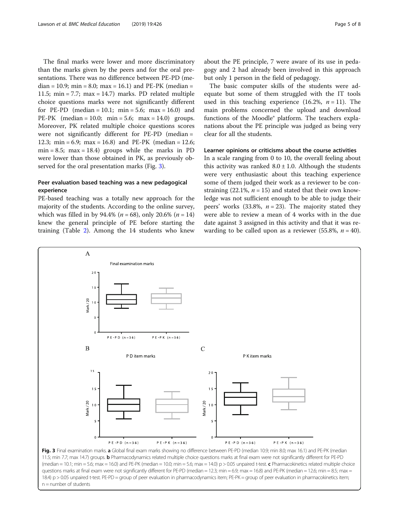The final marks were lower and more discriminatory than the marks given by the peers and for the oral presentations. There was no difference between PE-PD (median = 10.9; min = 8.0; max = 16.1) and PE-PK (median = 11.5; min = 7.7; max = 14.7) marks. PD related multiple choice questions marks were not significantly different for PE-PD (median =  $10.1$ ; min =  $5.6$ ; max =  $16.0$ ) and PE-PK  $(median = 10.0; min = 5.6; max = 14.0)$  groups. Moreover, PK related multiple choice questions scores were not significantly different for PE-PD (median = 12.3; min = 6.9; max = 16.8) and PE-PK (median = 12.6;  $min = 8.5$ ;  $max = 18.4$ ) groups while the marks in PD were lower than those obtained in PK, as previously observed for the oral presentation marks (Fig. 3).

# Peer evaluation based teaching was a new pedagogical experience

PE-based teaching was a totally new approach for the majority of the students. According to the online survey, which was filled in by 94.4% ( $n = 68$ ), only 20.6% ( $n = 14$ ) knew the general principle of PE before starting the training (Table [2\)](#page-5-0). Among the 14 students who knew

about the PE principle, 7 were aware of its use in pedagogy and 2 had already been involved in this approach but only 1 person in the field of pedagogy.

The basic computer skills of the students were adequate but some of them struggled with the IT tools used in this teaching experience (16.2%,  $n = 11$ ). The main problems concerned the upload and download functions of the Moodle® platform. The teachers explanations about the PE principle was judged as being very clear for all the students.

# Learner opinions or criticisms about the course activities

In a scale ranging from 0 to 10, the overall feeling about this activity was ranked  $8.0 \pm 1.0$ . Although the students were very enthusiastic about this teaching experience some of them judged their work as a reviewer to be constraining (22.1%,  $n = 15$ ) and stated that their own knowledge was not sufficient enough to be able to judge their peers' works (33.8%,  $n = 23$ ). The majority stated they were able to review a mean of 4 works with in the due date against 3 assigned in this activity and that it was rewarding to be called upon as a reviewer (55.8%,  $n = 40$ ).



 $n =$  number of students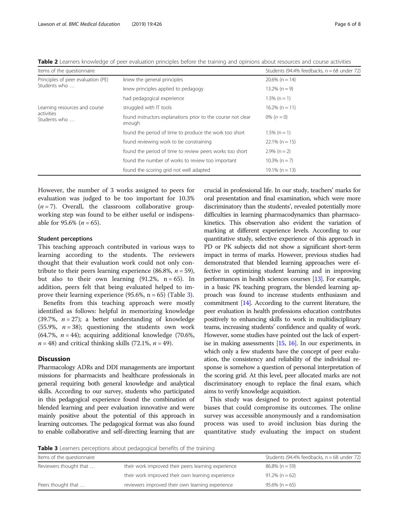<span id="page-5-0"></span>Table 2 Learners knowledge of peer evaluation principles before the training and opinions about resources and course activities

| Items of the questionnaire         | Students (94.4% feedbacks, $n = 68$ under 72)                          |                   |
|------------------------------------|------------------------------------------------------------------------|-------------------|
| Principles of peer evaluation (PE) | knew the general principles                                            | $20.6\%$ (n = 14) |
| Students who                       | knew principles applied to pedagogy                                    | $13.2\%$ (n = 9)  |
|                                    | had pedagogical experience                                             | $1.5\%$ (n = 1)   |
| Learning resources and course      | struggled with IT tools                                                | $16.2\%$ (n = 11) |
| activities<br>Students who         | found instructors explanations prior to the course not clear<br>enough | 0% $(n = 0)$      |
|                                    | found the period of time to produce the work too short                 | $1.5\%$ (n = 1)   |
|                                    | found reviewing work to be constraining                                | $22.1\%$ (n = 15) |
|                                    | found the period of time to review peers works too short               | $2.9\%$ (n = 2)   |
|                                    | found the number of works to review too important                      | $10.3\%$ (n = 7)  |
|                                    | found the scoring grid not well adapted                                | $19.1\% (n = 13)$ |

However, the number of 3 works assigned to peers for evaluation was judged to be too important for 10.3%  $(n = 7)$ . Overall, the classroom collaborative groupworking step was found to be either useful or indispensable for 95.6% ( $n = 65$ ).

#### Student perceptions

This teaching approach contributed in various ways to learning according to the students. The reviewers thought that their evaluation work could not only contribute to their peers learning experience (86.8%,  $n = 59$ ), but also to their own learning  $(91.2\% , n = 65)$ . In addition, peers felt that being evaluated helped to improve their learning experience  $(95.6\%, n = 65)$  (Table 3).

Benefits from this teaching approach were mostly identified as follows: helpful in memorizing knowledge (39.7%,  $n = 27$ ); a better understanding of knowledge (55.9%,  $n = 38$ ); questioning the students own work (64.7%,  $n = 44$ ); acquiring additional knowledge (70.6%,  $n = 48$ ) and critical thinking skills (72.1%,  $n = 49$ ).

# **Discussion**

Pharmacology ADRs and DDI managements are important missions for pharmacists and healthcare professionals in general requiring both general knowledge and analytical skills. According to our survey, students who participated in this pedagogical experience found the combination of blended learning and peer evaluation innovative and were mainly positive about the potential of this approach in learning outcomes. The pedagogical format was also found to enable collaborative and self-directing learning that are

crucial in professional life. In our study, teachers' marks for oral presentation and final examination, which were more discriminatory than the students', revealed potentially more difficulties in learning pharmacodynamics than pharmacokinetics. This observation also evident the variation of marking at different experience levels. According to our quantitative study, selective experience of this approach in PD or PK subjects did not show a significant short-term impact in terms of marks. However, previous studies had demonstrated that blended learning approaches were effective in optimizing student learning and in improving performances in health sciences courses [[13\]](#page-7-0). For example, in a basic PK teaching program, the blended learning approach was found to increase students enthusiasm and commitment [\[14\]](#page-7-0). According to the current literature, the peer evaluation in health professions education contributes positively to enhancing skills to work in multidisciplinary teams, increasing students' confidence and quality of work. However, some studies have pointed out the lack of expertise in making assessments [[15,](#page-7-0) [16\]](#page-7-0). In our experiments, in which only a few students have the concept of peer evaluation, the consistency and reliability of the individual response is somehow a question of personal interpretation of the scoring grid. At this level, peer allocated marks are not discriminatory enough to replace the final exam, which aims to verify knowledge acquisition.

This study was designed to protect against potential biases that could compromise its outcomes. The online survey was accessible anonymously and a randomisation process was used to avoid inclusion bias during the quantitative study evaluating the impact on student

Table 3 Learners perceptions about pedagogical benefits of the training

| Items of the questionnaire |                                                     | Students (94.4% feedbacks, $n = 68$ under 72) |
|----------------------------|-----------------------------------------------------|-----------------------------------------------|
| Reviewers thought that     | their work improved their peers learning experience | $86.8\%$ (n = 59)                             |
|                            | their work improved their own learning experience   | $91.2\%$ (n = 62)                             |
| Peers thought that         | reviewers improved their own learning experience    | $95.6\%$ (n = 65)                             |
|                            |                                                     |                                               |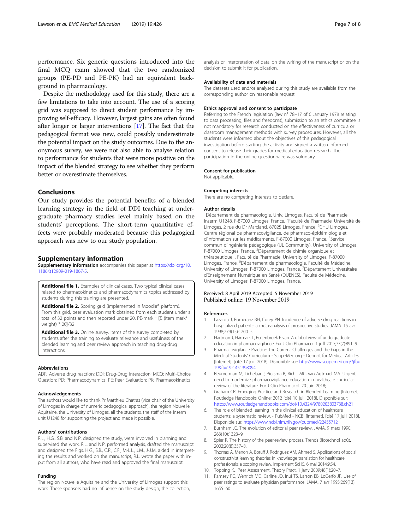<span id="page-6-0"></span>performance. Six generic questions introduced into the final MCQ exam showed that the two randomized groups (PE-PD and PE-PK) had an equivalent background in pharmacology.

Despite the methodology used for this study, there are a few limitations to take into account. The use of a scoring grid was supposed to direct student performance by improving self-efficacy. However, largest gains are often found after longer or larger interventions [\[17\]](#page-7-0). The fact that the pedagogical format was new, could possibly underestimate the potential impact on the study outcomes. Due to the anonymous survey, we were not also able to analyse relation to performance for students that were more positive on the impact of the blended strategy to see whether they perform better or overestimate themselves.

# Conclusions

Our study provides the potential benefits of a blended learning strategy in the field of DDI teaching at undergraduate pharmacy studies level mainly based on the students' perceptions. The short-term quantitative effects were probably moderated because this pedagogical approach was new to our study population.

# Supplementary information

Supplementary information accompanies this paper at [https://doi.org/10.](https://doi.org/10.1186/s12909-019-1867-5) [1186/s12909-019-1867-5.](https://doi.org/10.1186/s12909-019-1867-5)

Additional file 1. Examples of clinical cases. Two typical clinical cases related to pharmacokinetics and pharmacodynamics topics addressed by students during this training are presented.

Additional file 2. Scoring grid (implemented in Moodle® platform). From this grid, peer evaluation mark obtained from each student under a total of 32 points and then reported under 20. PE-mark =  $[\Sigma]$  (item mark\* weight) \* 20]/32

Additional file 3. Online survey. Items of the survey completed by students after the training to evaluate relevance and usefulness of the blended learning and peer review approach in teaching drug-drug interactions.

#### Abbreviations

ADR: Adverse drug reaction; DDI: Drug-Drug Interaction; MCQ: Multi-Choice Question; PD: Pharmacodynamics; PE: Peer Evaluation; PK: Pharmacokinetics

#### Acknowledgements

The authors would like to thank Pr Matthieu Chatras (vice chair of the University of Limoges in charge of numeric pedagogical approach), the region Nouvelle Aquitaine, the University of Limoges, all the students, the staff of the Inserm unit U1248 for supporting the project and made it possible.

#### Authors' contributions

R.L., H.G., S.B. and N.P. designed the study, were involved in planning and supervised the work. R.L. and N.P. performed analysis, drafted the manuscript and designed the Figs. H.G., S.B., C.P., C.F., M-L.L., J.M., J-J.M. aided in interpreting the results and worked on the manuscript, R.L. wrote the paper with input from all authors, who have read and approved the final manuscript.

#### Funding

The region Nouvelle Aquitaine and the University of Limoges support this work. These sponsors had no influence on the study design, the collection, analysis or interpretation of data, on the writing of the manuscript or on the decision to submit it for publication.

# Availability of data and materials

The datasets used and/or analysed during this study are available from the corresponding author on reasonable request.

#### Ethics approval and consent to participate

Referring to the French legislation (law n° 78–17 of 6 January 1978 relating to data processing, files and freedoms), submission to an ethics committee is not mandatory for research conducted on the effectiveness of curricula or classroom management methods with survey procedures. However, all the students were informed about the objectives of this pedagogical investigation before starting the activity and signed a written informed consent to release their grades for medical education research. The participation in the online questionnaire was voluntary.

#### Consent for publication

Not applicable.

#### Competing interests

There are no competing interests to declare.

#### Author details

<sup>1</sup>Département de pharmacologie, Univ. Limoges, Faculté de Pharmacie Inserm U1248, F-87000 Limoges, France. <sup>2</sup> Faculté de Pharmacie, Université de Limoges, 2 rue du Dr Marcland, 87025 Limoges, France. <sup>3</sup>CHU Limoges, Centre régional de pharmacovigilance, de pharmaco-épidémiologie et d'information sur les médicaments, F-87000 Limoges, France. <sup>4</sup>Service commun d'ingénierie pédagogique (UL Community), University of Limoges, F-87000 Limoges, France. <sup>5</sup>Département de chimie organique et thérapeutique, , Faculté de Pharmacie, University of Limoges, F-87000 Limoges, France. <sup>6</sup>Département de pharmacologie, Faculté de Médecine University of Limoges, F-87000 Limoges, France. <sup>7</sup> Département Universitaire d'Enseignement Numérique en Santé (DUENES), Faculté de Médecine, University of Limoges, F-87000 Limoges, France.

### Received: 8 April 2019 Accepted: 5 November 2019 Published online: 19 November 2019

#### References

- 1. Lazarou J, Pomeranz BH, Corey PN. Incidence of adverse drug reactions in hospitalized patients: a meta-analysis of prospective studies. JAMA. 15 avr 1998;279(15):1200–5.
- 2. Hartman J, Härmark L, Puijenbroek E van. A global view of undergraduate education in pharmacovigilance. Eur J Clin Pharmacol. 1 juill 2017;73(7):891–9.
- 3. Pharmacovigilance Practice: The Current Challenges and the Gaps in the Medical Students' Curriculum - ScopeMed.org - Deposit for Medical Articles [Internet]. [cité 17 juill 2018]. Disponible sur: [http://www.scopemed.org/?jft=](http://www.scopemed.org/?jft=19&ft=19-1451398094) [19&ft=19-1451398094](http://www.scopemed.org/?jft=19&ft=19-1451398094)
- 4. Reumerman M, Tichelaar J, Piersma B, Richir MC, van Agtmael MA. Urgent need to modernize pharmacovigilance education in healthcare curricula: review of the literature. Eur J Clin Pharmacol. 20 juin 2018;
- 5. Graham CR. Emerging Practice and Research in Blended Learning [Internet]. Routledge Handbooks Online; 2012 [cité 10 juill 2018]. Disponible sur: <https://www.routledgehandbooks.com/doi/10.4324/9780203803738.ch21>
- 6. The role of blended learning in the clinical education of healthcare students: a systematic review. - PubMed - NCBI [Internet]. [cité 17 juill 2018]. Disponible sur: <https://www.ncbi.nlm.nih.gov/pubmed/22455712>
- 7. Burnham JC. The evolution of editorial peer review. JAMA. 9 mars 1990; 263(10):1323–9.
- 8. Spier R. The history of the peer-review process. Trends Biotechnol août. 2002;20(8):357–8.
- 9. Thomas A, Menon A, Boruff J, Rodriguez AM, Ahmed S. Applications of social constructivist learning theories in knowledge translation for healthcare professionals: a scoping review. Implement Sci IS. 6 mai 2014;9:54.
- 10. Topping KJ. Peer Assessment. Theory Pract. 1 janv 2009;48(1):20–7.
- 11. Ramsey PG, Wenrich MD, Carline JD, Inui TS, Larson EB, LoGerfo JP. Use of peer ratings to evaluate physician performance. JAMA. 7 avr 1993;269(13): 1655–60.